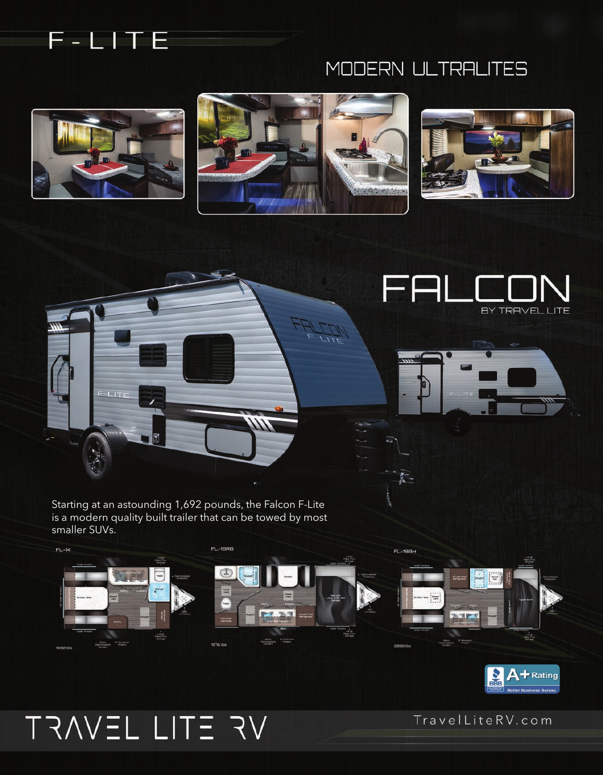

## MODERN ULTRALITES

尽



 $1.177$ 









Starting at an astounding 1,692 pounds, the Falcon F-Lite is a modern quality built trailer that can be towed by most smaller SUVs.





# TRAVEL LITE RV

TravelLiteRV.com